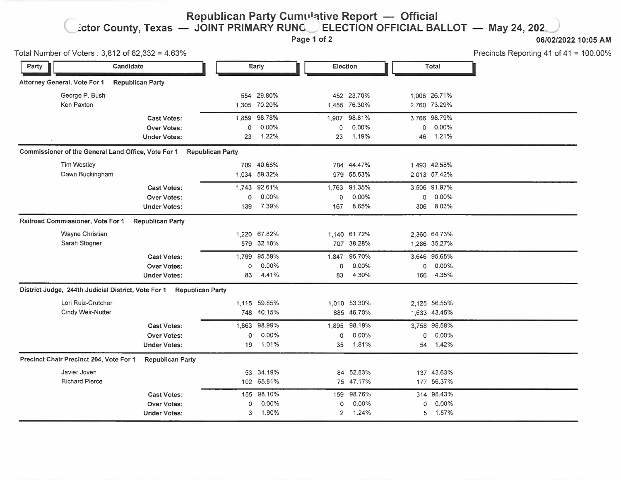## **Republican Party Cumulative Report - Official ~ctor County, Texas - JOINT PRIMARY RUNG\_,, ELECTION OFFICIAL BALLOT - May 24, 202~**

**Page 1 of 2 06/02/2022 10:05 AM** 

| Total Number of Voters: 3,812 of 82,332 = 4.63%     |                                                                      |                         |                                   |                     |                                   |                     |                                   | Precincts Reporting 41 of 41 = 100.00% |
|-----------------------------------------------------|----------------------------------------------------------------------|-------------------------|-----------------------------------|---------------------|-----------------------------------|---------------------|-----------------------------------|----------------------------------------|
| Candidate<br>Party                                  |                                                                      | Early                   |                                   | Election            |                                   | Total               |                                   |                                        |
| Attorney General, Vote For 1                        | <b>Republican Party</b>                                              |                         |                                   |                     |                                   |                     |                                   |                                        |
| George P. Bush<br>Ken Paxton                        |                                                                      |                         | 554 29.80%<br>1,305 70.20%        |                     | 452 23.70%<br>1,455 76.30%        |                     | 1,006 26.71%<br>2,760 73.29%      |                                        |
|                                                     | <b>Cast Votes:</b><br><b>Over Votes:</b><br><b>Under Votes:</b>      | 0<br>23                 | 1,859 98.78%<br>0.00%<br>1.22%    | 0<br>23             | 1,907 98.81%<br>$0.00\%$<br>1.19% | 0<br>46             | 3,766 98.79%<br>$0.00\%$<br>1.21% |                                        |
| Commissioner of the General Land Office, Vote For 1 |                                                                      | <b>Republican Party</b> |                                   |                     |                                   |                     |                                   |                                        |
| <b>Tim Westley</b><br>Dawn Buckingham               |                                                                      |                         | 709 40.68%<br>1,034 59.32%        |                     | 784 44.47%<br>979 55.53%          |                     | 1,493 42.58%<br>2,013 57.42%      |                                        |
|                                                     | <b>Cast Votes:</b><br><b>Over Votes:</b><br><b>Under Votes:</b>      | $\mathbf{0}$<br>139     | 1,743 92.61%<br>0.00%<br>7.39%    | $\mathbf{O}$<br>167 | 1,763 91.35%<br>0.00%<br>8.65%    | $\mathbf{0}$<br>306 | 3,506 91.97%<br>$0.00\%$<br>8.03% |                                        |
| Railroad Commissioner, Vote For 1                   | <b>Republican Party</b>                                              |                         |                                   |                     |                                   |                     |                                   |                                        |
| Wayne Christian<br>Sarah Stogner                    |                                                                      |                         | 1,220 67.82%<br>579 32.18%        |                     | 1,140 61.72%<br>707 38.28%        |                     | 2,360 64.73%<br>1,286 35.27%      |                                        |
|                                                     | <b>Cast Votes:</b><br><b>Over Votes:</b><br><b>Under Votes:</b>      | 0<br>83                 | 1,799 95.59%<br>0.00%<br>4.41%    | 0<br>83             | 1,847 95.70%<br>0.00%<br>4.30%    | 0<br>166            | 3,646 95.65%<br>0.00%<br>4.35%    |                                        |
|                                                     | District Judge, 244th Judicial District, Vote For 1 Republican Party |                         |                                   |                     |                                   |                     |                                   |                                        |
| Lori Ruiz-Crutcher<br>Cindy Weir-Nutter             |                                                                      |                         | 1,115 59.85%<br>748 40.15%        |                     | 1,010 53.30%<br>885 46.70%        |                     | 2,125 56.55%<br>1,633 43.45%      |                                        |
|                                                     | <b>Cast Votes:</b><br><b>Over Votes:</b><br><b>Under Votes:</b>      | $\circ$                 | 1,863 98.99%<br>0.00%<br>19 1.01% | 0<br>35             | 1,895 98.19%<br>0.00%<br>1.81%    | 0                   | 3,758 98.58%<br>0.00%<br>54 1.42% |                                        |
| Precinct Chair Precinct 204, Vote For 1             | <b>Republican Party</b>                                              |                         |                                   |                     |                                   |                     |                                   |                                        |
| Javier Joven<br><b>Richard Pierce</b>               |                                                                      |                         | 53 34.19%<br>102 65.81%           |                     | 84 52.83%<br>75 47.17%            |                     | 137 43.63%<br>177 56.37%          |                                        |
|                                                     | <b>Cast Votes:</b><br><b>Over Votes:</b><br><b>Under Votes:</b>      | 0<br>3                  | 155 98.10%<br>0.00%<br>1.90%      | 0<br>$\overline{2}$ | 159 98.76%<br>$0.00\%$<br>1.24%   | 0<br>5              | 314 98.43%<br>0.00%<br>1.57%      |                                        |